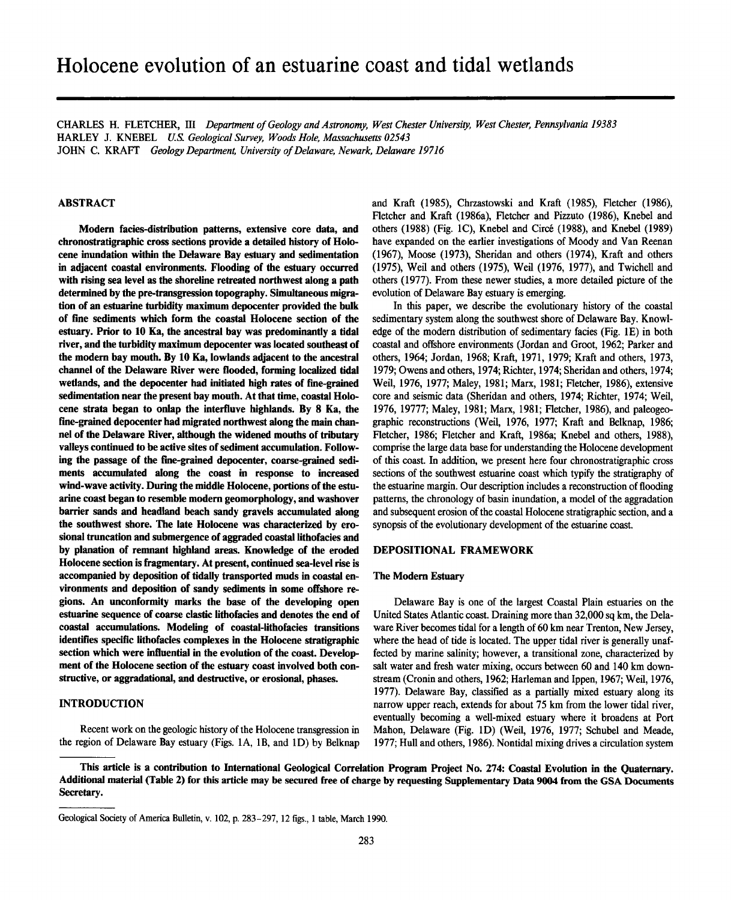CHARLES H. FLETCHER, III *Department of Geology and Astronomy, West Chester University, West Chester, Pennsylvania 19383*  HARLEY J. KNEBEL *U.S. Geological Survey, Woods Hole, Massachusetts 02543*  JOHN C. KRAFT *Geology Department, University of Delaware, Newark, Delaware 19716* 

# **ABSTRACT**

**Modern facies-distribution patterns, extensive core data, and chronostratigraphic cross sections provide a detailed history of Holocene inundation within the Delaware Bay estuary and sedimentation in adjacent coastal environments. Flooding of the estuary occurred with rising sea level as the shoreline retreated northwest along a path determined by the pre-transgression topography. Simultaneous migration of an estuarine turbidity maximum depocenter provided the bulk of fine sediments which form the coastal Holocene section of the estuary. Prior to 10 Ka, the ancestral bay was predominantly a tidal river, and the turbidity maximum depocenter was located southeast of the modern bay mouth. By 10 Ka, lowlands adjacent to the ancestral channel of the Delaware River were flooded, forming localized tidal wetlands, and the depocenter had initiated high rates of fine-grained sedimentation near the present bay mouth. At that time, coastal Holocene strata began to onlap the interfluve highlands. By 8 Ka, the fine-grained depocenter had migrated northwest along the main channel of the Delaware River, although the widened mouths of tributary valleys continued to be active sites of sediment accumulation. Following the passage of the fine-grained depocenter, coarse-grained sediments accumulated along the coast in response to increased wind-wave activity. During the middle Holocene, portions of the estuarine coast began to resemble modern geomorphology, and washover barrier sands and headland beach sandy gravels accumulated along the southwest shore. The late Holocene was characterized by erosional truncation and submergence of aggraded coastal lithofacies and by planation of remnant highland areas. Knowledge of the eroded Holocene section is fragmentary. At present, continued sea-level rise is accompanied by deposition of tidally transported muds in coastal environments and deposition of sandy sediments in some offshore regions. An unconformity marks the base of the developing open estuarine sequence of coarse clastic lithofacies and denotes the end of coastal accumulations. Modeling of coastal-lithofacies transitions identifies specific lithofacies complexes in the Holocene stratigraphic section which were influential in the evolution of the coast. Development of the Holocene section of the estuary coast involved both constructive, or aggradational, and destructive, or erosional, phases.** 

# **INTRODUCTION**

Recent work on the geologic history of the Holocene transgression in the region of Delaware Bay estuary (Figs. 1A, IB, and ID) by Belknap

and Kraft (1985), Chrzastowski and Kraft (1985), Fletcher (1986), Fletcher and Kraft (1986a), Fletcher and Pizzuto (1986), Knebel and others (1988) (Fig. 1C), Knebel and Circe (1988), and Knebel (1989) have expanded on the earlier investigations of Moody and Van Reenan (1967), Moose (1973), Sheridan and others (1974), Kraft and others (1975), Weil and others (1975), Weil (1976, 1977), and Twichell and others (1977). From these newer studies, a more detailed picture of the evolution of Delaware Bay estuary is emerging.

In this paper, we describe the evolutionary history of the coastal sedimentary system along the southwest shore of Delaware Bay. Knowledge of the modern distribution of sedimentary facies (Fig. IE) in both coastal and offshore environments (Jordan and Groot, 1962; Parker and others, 1964; Jordan, 1968; Kraft, 1971, 1979; Kraft and others, 1973, 1979; Owens and others, 1974; Richter, 1974; Sheridan and others, 1974; Weil, 1976, 1977; Maley, 1981; Marx, 1981; Fletcher, 1986), extensive core and seismic data (Sheridan and others, 1974; Richter, 1974; Weil, 1976, 19777; Maley, 1981; Marx, 1981; Fletcher, 1986), and paleogeographic reconstructions (Weil, 1976, 1977; Kraft and Belknap, 1986; Fletcher, 1986; Fletcher and Kraft, 1986a; Knebel and others, 1988), comprise the large data base for understanding the Holocene development of this coast. In addition, we present here four chronostratigraphic cross sections of the southwest estuarine coast which typify the stratigraphy of the estuarine margin. Our description includes a reconstruction of flooding patterns, the chronology of basin inundation, a model of the aggradation and subsequent erosion of the coastal Holocene stratigraphic section, and a synopsis of the evolutionary development of the estuarine coast.

# **DEPOSITIONAL FRAMEWORK**

# **The Modern Estuary**

Delaware Bay is one of the largest Coastal Plain estuaries on the United States Atlantic coast. Draining more than 32,000 sq km, the Delaware River becomes tidal for a length of 60 km near Trenton, New Jersey, where the head of tide is located. The upper tidal river is generally unaffected by marine salinity; however, a transitional zone, characterized by salt water and fresh water mixing, occurs between 60 and 140 km downstream (Cronin and others, 1962; Harleman and Ippen, 1967; Weil, 1976, 1977). Delaware Bay, classified as a partially mixed estuary along its narrow upper reach, extends for about 75 km from the lower tidal river, eventually becoming a well-mixed estuary where it broadens at Port Mahon, Delaware (Fig. ID) (Weil, 1976, 1977; Schubel and Meade, 1977; Hull and others, 1986). Nontidal mixing drives a circulation system

**This article is a contribution to International Geological Correlation Program Project No. 274: Coastal Evolution in the Quaternary.**  Additional material (Table 2) for this article may be secured free of charge by requesting Supplementary Data 9004 from the GSA Documents **Secretary.** 

**Geological Society of America Bulletin, v. 102, p. 283-297,12 figs., 1 table, March 1990.**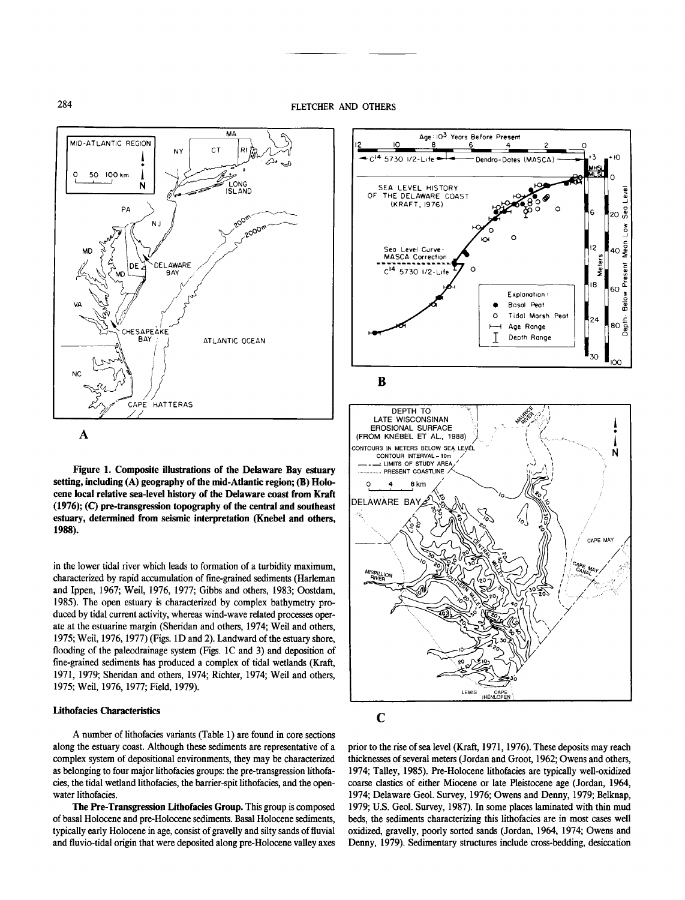

**Figure 1. Composite illustrations of the Delaware Bay estuary setting, including (A) geography of the mid-Atlantic region; (B) Holocene local relative sea-level history of the Delaware coast from Kraft (1976); (C) pre-transgression topography of the central and southeast estuary, determined from seismic interpretation (Knebel and others, 1988).** 

in the lower tidal river which leads to formation of a turbidity maximum, characterized by rapid accumulation of fine-grained sediments (Harleman and Ippen, 1967; Weil, 1976, 1977; Gibbs and others, 1983; Oostdam, 1985). The open estuary is characterized by complex bathymetry produced by tidal current activity, whereas wind-wave related processes operate at the estuarine margin (Sheridan and others, 1974; Weil and others, 1975; Weil, 1976,1977) (Figs. ID and 2). Landward of the estuary shore, flooding of the paleodrainage system (Figs. 1C and 3) and deposition of fine-grained sediments has produced a complex of tidal wetlands (Kraft, 1971, 1979; Sheridan and others, 1974; Richter, 1974; Weil and others, 1975; Weil, 1976,1977; Field, 1979).

# **Lithofacies Characteristics**

A number of lithofacies variants (Table 1) are found in core sections along the estuary coast. Although these sediments are representative of a complex system of depositional environments, they may be characterized as belonging to four major lithofacies groups: the pre-transgression lithofacies, the tidal wetland lithofacies, the barrier-spit lithofacies, and the openwater lithofacies.

**The Pre-Transgression Lithofacies Group.** This group is composed of basal Holocene and pre-Holocene sediments. Basal Holocene sediments, typically early Holocene in age, consist of gravelly and silty sands of fluvial and fluvio-tidal origin that were deposited along pre-Holocene valley axes



 $\mathbf C$ 

prior to the rise of sea level (Kraft, 1971, 1976). These deposits may reach thicknesses of several meters (Jordan and Groot, 1962; Owens and others, 1974; Talley, 1985). Pre-Holocene lithofacies are typically well-oxidized coarse clastics of either Miocene or late Pleistocene age (Jordan, 1964, 1974; Delaware Geol. Survey, 1976; Owens and Denny, 1979; Belknap, 1979; U.S. Geol. Survey, 1987). In some places laminated with thin mud beds, the sediments characterizing this lithofacies are in most cases well oxidized, gravelly, poorly sorted sands (Jordan, 1964, 1974; Owens and Denny, 1979). Sedimentary structures include cross-bedding, desiccation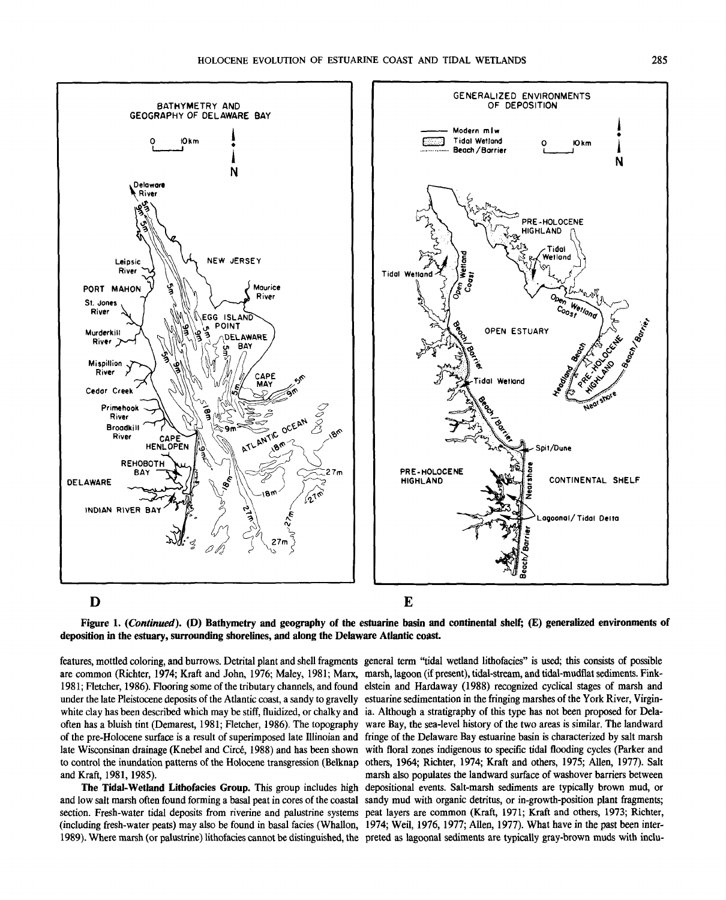

# D

E



are common (Richter, 1974; Kraft and John, 1976; Maley, 1981; Marx, marsh, lagoon (if present), tidal-stream, and tidal-mudflat sediments. Fink-

features, mottled coloring, and burrows. Detrital plant and shell fragments general term "tidal wetland lithofacies" is used; this consists of possible 1981; Fletcher, 1986). Flooring some of the tributary channels, and found elstein and Hardaway (1988) recognized cyclical stages of marsh and under the late Pleistocene deposits of the Atlantic coast, a sandy to gravelly estuarine sedimentation in the fringing marshes of the York River, Virginwhite clay has been described which may be stiff, fluidized, or chalky and ia. Although a stratigraphy of this type has not been proposed for Delaoften has a bluish tint (Demarest, 1981; Fletcher, 1986). The topography ware Bay, the sea-level history of the two areas is similar. The landward of the pre-Holocene surface is a result of superimposed late Illinoian and fringe of the Delaware Bay estuarine basin is characterized by salt marsh late Wisconsinan drainage (Knebel and Circe, 1988) and has been shown with floral zones indigenous to specific tidal flooding cycles (Parker and to control the inundation patterns of the Holocene transgression (Belknap others, 1964; Richter, 1974; Kraft and others, 1975; Allen, 1977). Salt and Kraft, 1981, 1985). The surface of washover barriers between the landward surface of washover barriers between **The Tidal-Wetland Lithofacies Group.** This group includes high depositional events. Salt-marsh sediments are typically brown mud, or and low salt marsh often found forming a basal peat in cores of the coastal sandy mud with organic detritus, or in-growth-position plant fragments; section. Fresh-water tidal deposits from riverine and palustrine systems peat layers are common (Kraft, 1971; Kraft and others, 1973; Richter, (including fresh-water peats) may also be found in basal facies (Whallon, 1974; Weil, 1976, 1977; Allen, 1977). What have in the past been inter-1989). Where marsh (or palustrine) lithofacies cannot be distinguished, the preted as lagoonal sediments are typically gray-brown muds with inclu-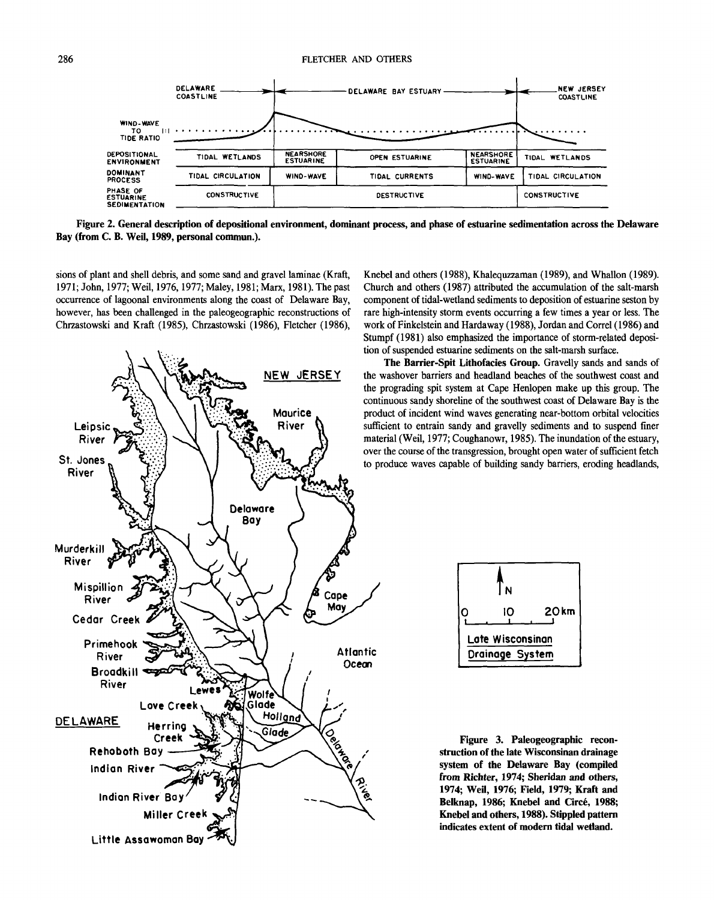

**Figure 2. General description of depositional environment, dominant process, and phase of estuarine sedimentation across the Delaware Bay (from C. B. Weil, 1989, personal commun.).** 

sions of plant and shell debris, and some sand and gravel laminae (Kraft, 1971; John, 1977; Weil, 1976,1977; Maley, 1981; Marx, 1981). The past occurrence of lagoonal environments along the coast of Delaware Bay, however, has been challenged in the paleogeographic reconstructions of Chrzastowski and Kraft (1985), Chrzastowski (1986), Fletcher (1986),



Knebel and others (1988), Khalequzzaman (1989), and Whallon (1989). Church and others (1987) attributed the accumulation of the salt-marsh component of tidal-wetland sediments to deposition of estuarine seston by rare high-intensity storm events occurring a few times a year or less. The work of Finkelstein and Hardaway (1988), Jordan and Correl (1986) and Stumpf (1981) also emphasized the importance of storm-related deposition of suspended estuarine sediments on the salt-marsh surface.

**The Barrier-Spit Lithofacies Group.** Gravelly sands and sands of the washover barriers and headland beaches of the southwest coast and the prograding spit system at Cape Henlopen make up this group. The continuous sandy shoreline of the southwest coast of Delaware Bay is the product of incident wind waves generating near-bottom orbital velocities sufficient to entrain sandy and gravelly sediments and to suspend finer material (Weil, 1977; Coughanowr, 1985). The inundation of the estuary, over the course of the transgression, brought open water of sufficient fetch to produce waves capable of building sandy barriers, eroding headlands,



**Figure 3. Paleogeographic reconstruction of the late Wisconsinan drainage system of the Delaware Bay (compiled from Richter, 1974; Sheridan and others, 1974; Weil, 1976; Field, 1979; Kraft and Belknap, 1986; Knebel and Circé, 1988; Knebel and others, 1988). Stippled pattern indicates extent of modern tidal wetland.**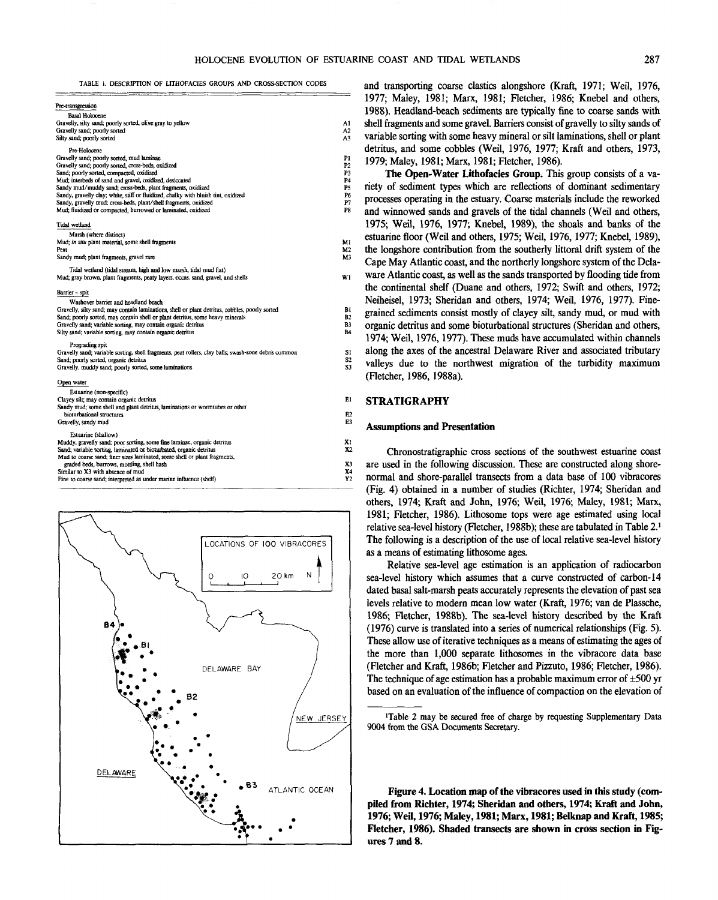TABLE 1. DESCRIPTION OF LITHOFACIES GROUPS AND CROSS-SECTION CODES

| Pre-transgression                                                                                    |                |
|------------------------------------------------------------------------------------------------------|----------------|
| <b>Basal Holocene</b>                                                                                |                |
| Gravelly, silty sand; poorly sorted, olive gray to yellow                                            | A1             |
| Gravelly sand; poorly sorted                                                                         | А2             |
| Silty sand; poorly sorted                                                                            | A3             |
|                                                                                                      |                |
| Pre-Holocene                                                                                         |                |
| Gravelly sand; poorly sorted, mud laminae                                                            | P1             |
| Gravelly sand; poorly sorted, cross-beds, oxidized                                                   | P <sub>2</sub> |
| Sand; poorly sorted, compacted, oxidized                                                             | P3             |
| Mud: interbeds of sand and gravel, oxidized, desiccated                                              | P4             |
| Sandy mud/muddy sand; cross-beds, plant fragments, oxidized                                          | P5             |
| Sandy, gravelly clay; white, stiff or fluidized, chalky with bluish tint, oxidized                   | P6             |
| Sandy, gravelly mud; cross-beds, plant/shell fragments, oxidized                                     | P7             |
| Mud; fluidized or compacted, burrowed or laminated, oxidized                                         | P8             |
|                                                                                                      |                |
| Tidal wetland                                                                                        |                |
| Marsh (where distinct)                                                                               |                |
| Mud; in situ plant material, some shell fragments                                                    | M1             |
| Peat                                                                                                 | M <sub>2</sub> |
| Sandy mud; plant fragments, gravel rare                                                              | M3             |
|                                                                                                      |                |
| Tidal wetland (tidal stream, high and low marsh, tidal mud flat)                                     |                |
| Mud; gray brown, plant fragments, peaty layers, occas. sand, gravel, and shells                      | W1             |
|                                                                                                      |                |
| Barrier -- spit                                                                                      |                |
| Washover barrier and headland beach                                                                  |                |
| Gravelly, silty sand; may contain laminations, shell or plant detritus, cobbles, poorly sorted       | B1             |
| Sand; poorly sorted, may contain shell or plant detritus, some heavy minerals                        | <b>B2</b>      |
| Gravelly sand; variable sorting, may contain organic detritus                                        | B3             |
| Silty sand; variable sorting, may contain organic detritus                                           | <b>B4</b>      |
|                                                                                                      |                |
| Prograding spit                                                                                      |                |
| Gravelly sand; variable sorting, shell fragments, peat rollers, clay balls; swash-zone debris common | S1             |
| Sand; poorly sorted, organic detritus                                                                | S2             |
| Gravelly, muddy sand; poorly sorted, some laminations                                                | S3             |
|                                                                                                      |                |
| Open water                                                                                           |                |
| Estuarine (non-specific)                                                                             |                |
| Clayey silt; may contain organic detritus                                                            | Εì             |
| Sandy mud; some shell and plant detritus, laminations or wormtubes or other                          |                |
| bioturbational structures                                                                            | E <sub>2</sub> |
| Gravelly, sandy mud                                                                                  | E3             |
| Estuarine (shallow)                                                                                  |                |
| Muddy, gravelly sand; poor sorting, some fine laminae, organic detritus                              | X1             |
| Sand: variable sorting, laminated or bioturbated, organic detritus                                   | X2             |
| Mud to coarse sand; finer sizes laminated, some shell or plant fragments,                            |                |
| graded beds, burrows, mottling, shell hash                                                           | X3             |
| Similar to X3 with absence of mud                                                                    | X4             |
| Fine to coarse sand; interpreted as under marine influence (shelf)                                   | Y2             |
|                                                                                                      |                |



and transporting coarse clastics alongshore (Kraft, 1971; Weil, 1976, 1977; Maley, 1981; Marx, 1981; Fletcher, 1986; Knebel and others, 1988). Headland-beach sediments are typically fine to coarse sands with shell fragments and some gravel. Barriers consist of gravelly to silty sands of variable sorting with some heavy mineral or silt laminations, shell or plant detritus, and some cobbles (Weil, 1976, 1977; Kraft and others, 1973, 1979; Maley, 1981; Marx, 1981; Fletcher, 1986).

**The Open-Water Lithofacies Group.** This group consists of a variety of sediment types which are reflections of dominant sedimentary processes operating in the estuary. Coarse materials include the reworked and winnowed sands and gravels of the tidal channels (Weil and others, 1975; Weil, 1976, 1977; Knebel, 1989), the shoals and banks of the estuarine floor (Weil and others, 1975; Weil, 1976,1977; Knebel, 1989), the longshore contribution from the southerly littoral drift system of the Cape May Atlantic coast, and the northerly longshore system of the Delaware Atlantic coast, as well as the sands transported by flooding tide from the continental shelf (Duane and others, 1972; Swift and others, 1972; Neiheisel, 1973; Sheridan and others, 1974; Weil, 1976, 1977). Finegrained sediments consist mostly of clayey silt, sandy mud, or mud with organic detritus and some bioturbational structures (Sheridan and others, 1974; Weil, 1976,1977). These muds have accumulated within channels along the axes of the ancestral Delaware River and associated tributary valleys due to the northwest migration of the turbidity maximum (Fletcher, 1986,1988a).

# **STRATIGRAPHY**

## **Assumptions and Presentation**

Chronostratigraphic cross sections of the southwest estuarine coast are used in the following discussion. These are constructed along shorenormal and shore-parallel transects from a data base of 100 vibracores (Fig. 4) obtained in a number of studies (Richter, 1974; Sheridan and others, 1974; Kraft and John, 1976; Weil, 1976; Maley, 1981; Marx, 1981; Fletcher, 1986). Lithosome tops were age estimated using local relative sea-level history (Fletcher, 1988b); these are tabulated in Table 2.<sup>1</sup> The following is a description of the use of local relative sea-level history as a means of estimating lithosome ages.

Relative sea-level age estimation is an application of radiocarbon sea-level history which assumes that a curve constructed of carbon-14 dated basal salt-marsh peats accurately represents the elevation of past sea levels relative to modern mean low water (Kraft, 1976; van de Plassche, 1986; Fletcher, 1988b). The sea-level history described by the Kraft (1976) curve is translated into a series of numerical relationships (Fig. 5). These allow use of iterative techniques as a means of estimating the ages of the more than 1,000 separate lithosomes in the vibracore data base (Fletcher and Kraft, 1986b; Fletcher and Pizzuto, 1986; Fletcher, 1986). The technique of age estimation has a probable maximum error of  $\pm 500$  yr based on an evaluation of the influence of compaction on the elevation of

**Figure 4. Location map of the vibracores used in this study (compiled from Richter, 1974; Sheridan and others, 1974; Kraft and John, 1976; Weil, 1976; Maley, 1981; Marx, 1981; Belknap and Kraft, 1985; Fletcher, 1986). Shaded transects are shown in cross section in Figures 7 and 8.** 

**<sup>&#</sup>x27;Table 2 may be secured free of charge by requesting Supplementary Data 9004 from the GSA Documents Secretary.**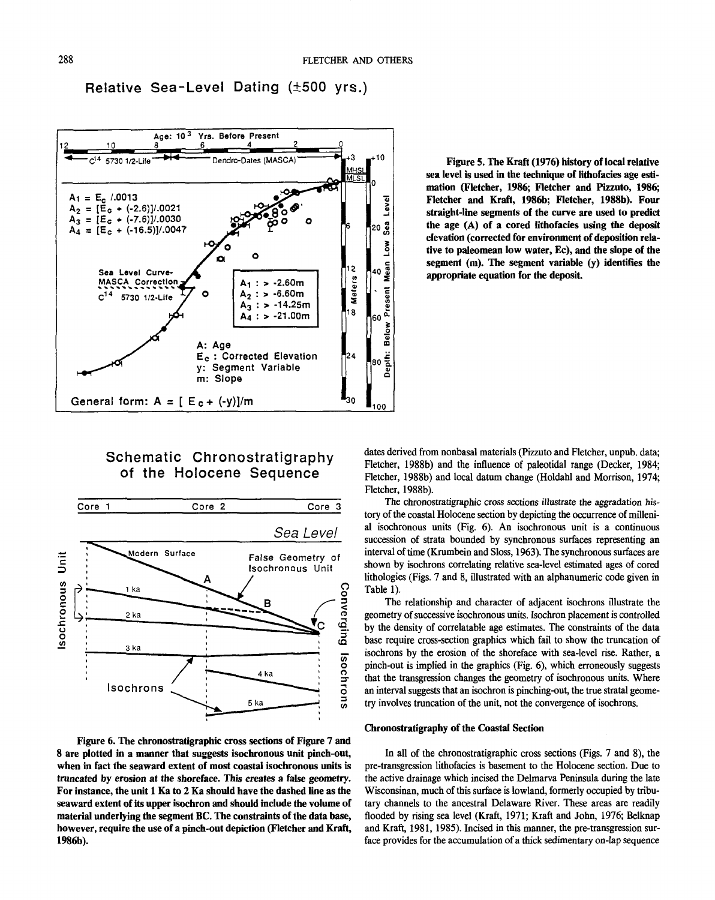



**Figure 5. The Kraft (1976) history of local relative sea level is used in the technique of lithofacies age estimation (Fletcher, 1986; Fletcher and Pizzuto, 1986; Fletcher and Kraft, 1986b; Fletcher, 1988b). Four straight-line segments of the curve are used to predict the age (A) of a cored lithofacies using the deposit elevation (corrected for environment of deposition relative to paleomean low water, Ec), and the slope of the segment (m). The segment variable (y) identifies the appropriate equation for the deposit.** 

# **Schematic Chronostratigraphy of the Holocene Sequence**



**Figure 6. The chronostratigraphic cross sections of Figure 7 and 8 are plotted in a manner that suggests isochronous unit pinch-out, when in fact the seaward extent of most coastal isochronous units is truncated by erosion at the shoreface. This creates a false geometry. For instance, the unit 1 Ka to 2 Ka should have the dashed line as the seaward extent of its upper isochron and should include the volume of material underlying the segment BC. The constraints of the data base, however, require the use of a pinch-out depiction (Fletcher and Kraft, 1986b).** 

dates derived from nonbasal materials (Pizzuto and Fletcher, unpub. data; Fletcher, 1988b) and the influence of paleotidal range (Decker, 1984; Fletcher, 1988b) and local datum change (Holdahl and Morrison, 1974; Fletcher, 1988b).

The chronostratigraphic cross sections illustrate the aggradation history of the coastal Holocene section by depicting the occurrence of millenial isochronous units (Fig. 6). An isochronous unit is a continuous succession of strata bounded by synchronous surfaces representing an interval of time (Krumbein and Sloss, 1963). The synchronous surfaces are shown by isochrons correlating relative sea-level estimated ages of cored lithologies (Figs. 7 and 8, illustrated with an alphanumeric code given in Table 1).

The relationship and character of adjacent isochrons illustrate the geometry of successive isochronous units. Isochron placement is controlled by the density of correlatable age estimates. The constraints of the data base require cross-section graphics which fail to show the truncation of isochrons by the erosion of the shoreface with sea-level rise. Rather, a pinch-out is implied in the graphics (Fig. 6), which erroneously suggests that the transgression changes the geometry of isochronous units. Where an interval suggests that an isochron is pinching-out, the true stratal geometry involves truncation of the unit, not the convergence of isochrons.

## **Chronostratigraphy of the Coastal Section**

In all of the chronostratigraphic cross sections (Figs. 7 and 8), the pre-transgression lithofacies is basement to the Holocene section. Due to the active drainage which incised the Delmarva Peninsula during the late Wisconsinan, much of this surface is lowland, formerly occupied by tributary channels to the ancestral Delaware River. These areas are readily flooded by rising sea level (Kraft, 1971; Kraft and John, 1976; Belknap and Kraft, 1981, 1985). Incised in this manner, the pre-transgression surface provides for the accumulation of a thick sedimentary on-lap sequence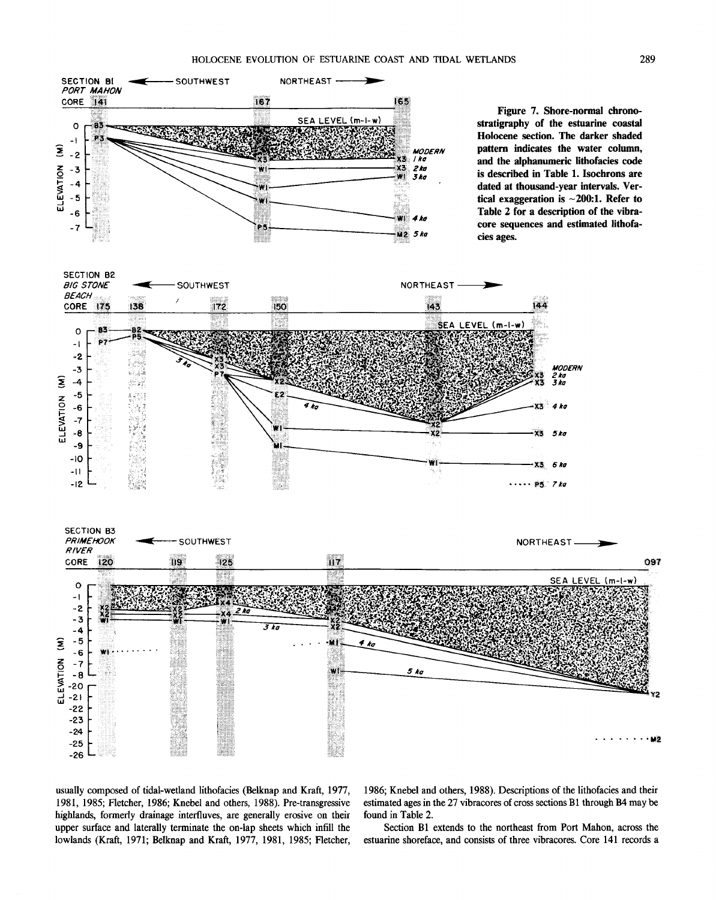

usually composed of tidal-wetland lithofacies (Belknap and Kraft, 1977, 1981, 1985; Fletcher, 1986; Knebel and others, 1988). Pre-transgressive highlands, formerly drainage interfluves, are generally erosive on their upper surface and laterally terminate the on-lap sheets which infill the lowlands (Kraft, 1971; Belknap and Kraft, 1977, 1981, 1985; Fletcher,

1986; Knebel and others, 1988). Descriptions of the lithofacies and their estimated ages in the 27 vibracores of cross sections Bl through B4 may be found in Table 2.

Section Bl extends to the northeast from Port Mahon, across the estuarine shoreface, and consists of three vibracores. Core 141 records a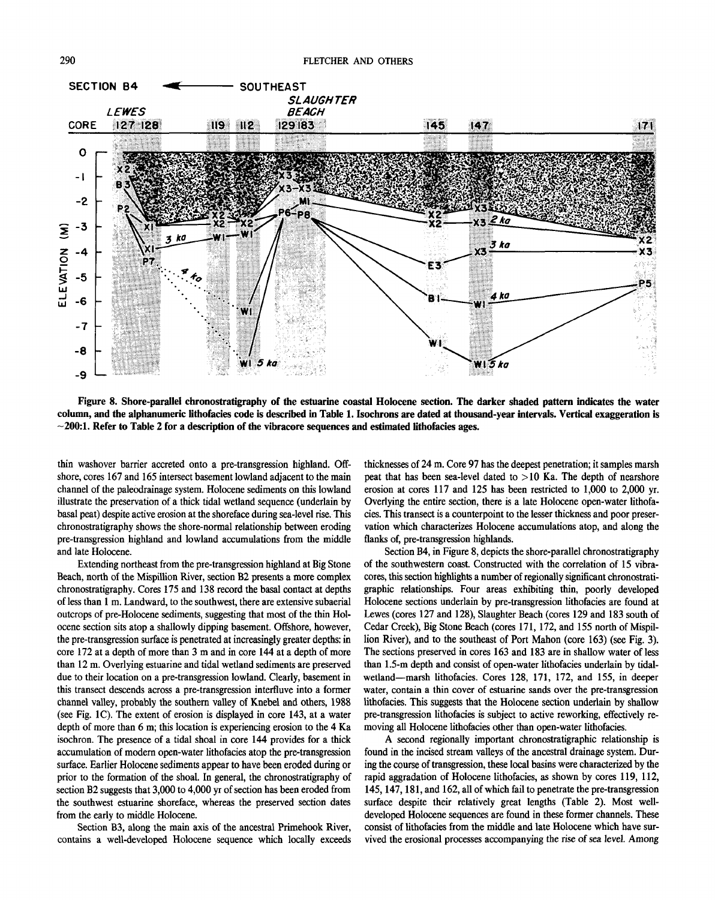

**Figure 8. Shore-parallel chronostratigraphy of the estuarine coastal Holocene section. The darker shaded pattern indicates the water column, and the alphanumeric lithofacies code is described in Table 1. Isochrons are dated at thousand-year intervals. Vertical exaggeration is -200:1. Refer to Table 2 for a description of the vibracore sequences and estimated lithofacies ages.** 

thin washover barrier accreted onto a pre-transgression highland. Offshore, cores 167 and 165 intersect basement lowland adjacent to the main channel of the paleodrainage system. Holocene sediments on this lowland illustrate the preservation of a thick tidal wetland sequence (underlain by basal peat) despite active erosion at the shoreface during sea-level rise. This chronostratigraphy shows the shore-normal relationship between eroding pre-transgression highland and lowland accumulations from the middle and late Holocene.

Extending northeast from the pre-transgression highland at Big Stone Beach, north of the Mispillion River, section B2 presents a more complex chronostratigraphy. Cores 175 and 138 record the basal contact at depths of less than 1 m. Landward, to the southwest, there are extensive subaerial outcrops of pre-Holocene sediments, suggesting that most of the thin Holocene section sits atop a shallowly dipping basement. Offshore, however, the pre-transgression surface is penetrated at increasingly greater depths: in core 172 at a depth of more than 3 m and in core 144 at a depth of more than 12 m. Overlying estuarine and tidal wetland sediments are preserved due to their location on a pre-transgression lowland. Clearly, basement in this transect descends across a pre-transgression interfluve into a former channel valley, probably the southern valley of Knebel and others, 1988 (see Fig. 1C). The extent of erosion is displayed in core 143, at a water depth of more than 6 m; this location is experiencing erosion to the 4 Ka isochron. The presence of a tidal shoal in core 144 provides for a thick accumulation of modern open-water lithofacies atop the pre-transgression surface. Earlier Holocene sediments appear to have been eroded during or prior to the formation of the shoal. In general, the chronostratigraphy of section B2 suggests that 3,000 to 4,000 yr of section has been eroded from the southwest estuarine shoreface, whereas the preserved section dates from the early to middle Holocene.

Section B3, along the main axis of the ancestral Primehook River, contains a well-developed Holocene sequence which locally exceeds thicknesses of 24 m. Core 97 has the deepest penetration; it samples marsh peat that has been sea-level dated to >10 Ka. The depth of nearshore erosion at cores 117 and 125 has been restricted to 1,000 to 2,000 yr. Overlying the entire section, there is a late Holocene open-water lithofacies. This transect is a counterpoint to the lesser thickness and poor preservation which characterizes Holocene accumulations atop, and along the flanks of, pre-transgression highlands.

Section B4, in Figure 8, depicts the shore-parallel chronostratigraphy of the southwestern coast. Constructed with the correlation of 15 vibracores, this section highlights a number of regionally significant chronostratigraphic relationships. Four areas exhibiting thin, poorly developed Holocene sections underlain by pre-transgression lithofacies are found at Lewes (cores 127 and 128), Slaughter Beach (cores 129 and 183 south of Cedar Creek), Big Stone Beach (cores 171,172, and 155 north of Mispillion River), and to the southeast of Port Mahon (core 163) (see Fig. 3). The sections preserved in cores 163 and 183 are in shallow water of less than 1.5-m depth and consist of open-water lithofacies underlain by tidalwetland—marsh lithofacies. Cores 128, 171, 172, and 155, in deeper water, contain a thin cover of estuarine sands over the pre-transgression lithofacies. This suggests that the Holocene section underlain by shallow pre-transgression lithofacies is subject to active reworking, effectively removing all Holocene lithofacies other than open-water lithofacies.

A second regionally important chronostratigraphic relationship is found in the incised stream valleys of the ancestral drainage system. During the course of transgression, these local basins were characterized by the rapid aggradation of Holocene lithofacies, as shown by cores 119, 112, 145,147,181, and 162, all of which fail to penetrate the pre-transgression surface despite their relatively great lengths (Table 2). Most welldeveloped Holocene sequences are found in these former channels. These consist of lithofacies from the middle and late Holocene which have survived the erosional processes accompanying the rise of sea level. Among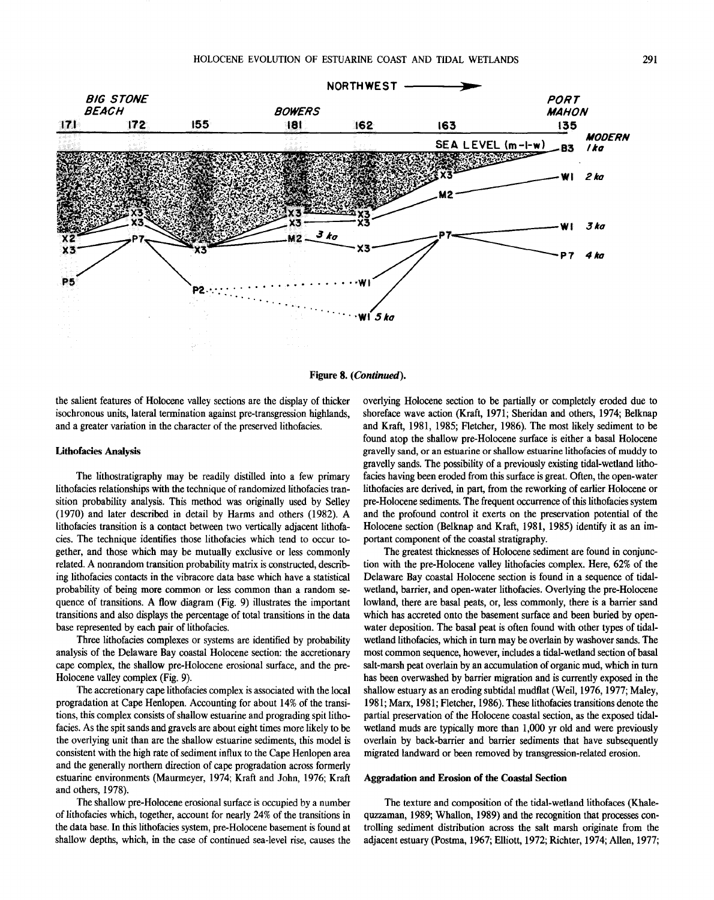

#### **Figure 8. (***Continued).*

the salient features of Holocene valley sections are the display of thicker isochronous units, lateral termination against pre-transgression highlands, and a greater variation in the character of the preserved lithofacies.

## **Lithofacies Analysis**

The lithostratigraphy may be readily distilled into a few primary lithofacies relationships with the technique of randomized lithofacies transition probability analysis. This method was originally used by Selley (1970) and later described in detail by Harms and others (1982). A lithofacies transition is a contact between two vertically adjacent lithofacies. The technique identifies those lithofacies which tend to occur together, and those which may be mutually exclusive or less commonly related. A nonrandom transition probability matrix is constructed, describing lithofacies contacts in the vibracore data base which have a statistical probability of being more common or less common than a random sequence of transitions. A flow diagram (Fig. 9) illustrates the important transitions and also displays the percentage of total transitions in the data base represented by each pair of lithofacies.

Three lithofacies complexes or systems are identified by probability analysis of the Delaware Bay coastal Holocene section: the accretionary cape complex, the shallow pre-Holocene erosional surface, and the pre-Holocene valley complex (Fig. 9).

The accretionary cape lithofacies complex is associated with the local progradation at Cape Henlopen. Accounting for about 14% of the transitions, this complex consists of shallow estuarine and prograding spit lithofacies. As the spit sands and gravels are about eight times more likely to be the overlying unit than are the shallow estuarine sediments, this model is consistent with the high rate of sediment influx to the Cape Henlopen area and the generally northern direction of cape progradation across formerly estuarine environments (Maurmeyer, 1974; Kraft and John, 1976; Kraft and others, 1978).

The shallow pre-Holocene erosional surface is occupied by a number of lithofacies which, together, account for nearly 24% of the transitions in the data base. In this lithofacies system, pre-Holocene basement is found at shallow depths, which, in the case of continued sea-level rise, causes the overlying Holocene section to be partially or completely eroded due to shoreface wave action (Kraft, 1971; Sheridan and others, 1974; Belknap and Kraft, 1981, 1985; Fletcher, 1986). The most likely sediment to be found atop the shallow pre-Holocene surface is either a basal Holocene gravelly sand, or an estuarine or shallow estuarine lithofacies of muddy to gravelly sands. The possibility of a previously existing tidal-wetland lithofacies having been eroded from this surface is great. Often, the open-water lithofacies are derived, in part, from the reworking of earlier Holocene or pre-Holocene sediments. The frequent occurrence of this lithofacies system and the profound control it exerts on the preservation potential of the Holocene section (Belknap and Kraft, 1981, 1985) identify it as an important component of the coastal stratigraphy.

The greatest thicknesses of Holocene sediment are found in conjunction with the pre-Holocene valley lithofacies complex. Here, 62% of the Delaware Bay coastal Holocene section is found in a sequence of tidalwetland, barrier, and open-water lithofacies. Overlying the pre-Holocene lowland, there are basal peats, or, less commonly, there is a barrier sand which has accreted onto the basement surface and been buried by openwater deposition. The basal peat is often found with other types of tidalwetland lithofacies, which in turn may be overlain by washover sands. The most common sequence, however, includes a tidal-wetland section of basal salt-marsh peat overlain by an accumulation of organic mud, which in turn has been overwashed by barrier migration and is currently exposed in the shallow estuary as an eroding subtidal mudflat (Weil, 1976, 1977; Maley, 1981; Marx, 1981; Fletcher, 1986). These lithofacies transitions denote the partial preservation of the Holocene coastal section, as the exposed tidalwetland muds are typically more than 1,000 yr old and were previously overlain by back-barrier and barrier sediments that have subsequently migrated landward or been removed by transgression-related erosion.

# **Aggradation and Erosion of the Coastal Section**

The texture and composition of the tidal-wetland lithofaces (Khalequzzaman, 1989; Whallon, 1989) and the recognition that processes controlling sediment distribution across the salt marsh originate from the adjacent estuary (Postma, 1967; Elliott, 1972; Richter, 1974; Allen, 1977;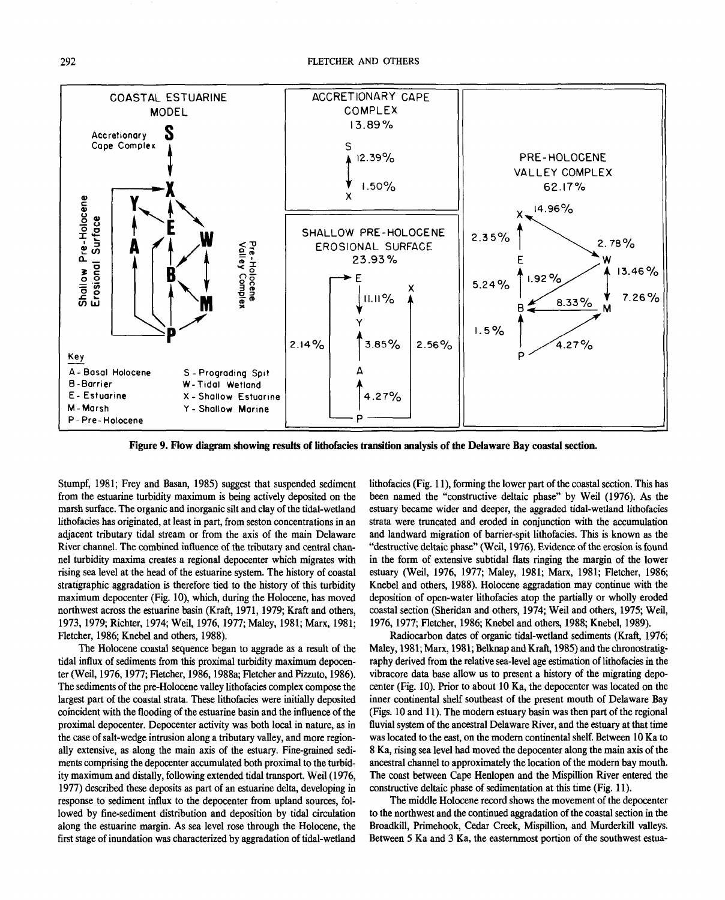**292 FLETCHER AND OTHERS** 



**Figure 9. Flow diagram showing results of lithofacies transition analysis of the Delaware Bay coastal section.** 

Stumpf, 1981; Frey and Basan, 1985) suggest that suspended sediment from the estuarine turbidity maximum is being actively deposited on the marsh surface. The organic and inorganic silt and clay of the tidal-wetland lithofacies has originated, at least in part, from seston concentrations in an adjacent tributary tidal stream or from the axis of the main Delaware River channel. The combined influence of the tributary and central channel turbidity maxima creates a regional depocenter which migrates with rising sea level at the head of the estuarine system. The history of coastal stratigraphic aggradation is therefore tied to the history of this turbidity maximum depocenter (Fig. 10), which, during the Holocene, has moved northwest across the estuarine basin (Kraft, 1971, 1979; Kraft and others, 1973, 1979; Richter, 1974; Weil, 1976,1977; Maley, 1981; Marx, 1981; Fletcher, 1986; Knebel and others, 1988).

The Holocene coastal sequence began to aggrade as a result of the tidal influx of sediments from this proximal turbidity maximum depocenter (Weil, 1976,1977; Fletcher, 1986,1988a; Fletcher and Pizzuto, 1986). The sediments of the pre-Holocene valley lithofacies complex compose the largest part of the coastal strata. These lithofacies were initially deposited coincident with the flooding of the estuarine basin and the influence of the proximal depocenter. Depocenter activity was both local in nature, as in the case of salt-wedge intrusion along a tributary valley, and more regionally extensive, as along the main axis of the estuary. Fine-grained sediments comprising the depocenter accumulated both proximal to the turbidity maximum and distally, following extended tidal transport. Weil (1976, 1977) described these deposits as part of an estuarine delta, developing in response to sediment influx to the depocenter from upland sources, followed by fine-sediment distribution and deposition by tidal circulation along the estuarine margin. As sea level rose through the Holocene, the first stage of inundation was characterized by aggradation of tidal-wetland

lithofacies (Fig. 11), forming the lower part of the coastal section. This has been named the "constructive deltaic phase" by Weil (1976). As the estuary became wider and deeper, the aggraded tidal-wetland lithofacies strata were truncated and eroded in conjunction with the accumulation and landward migration of barrier-spit lithofacies. This is known as the "destructive deltaic phase" (Weil, 1976). Evidence of the erosion is found in the form of extensive subtidal flats ringing the margin of the lower estuary (Weil, 1976, 1977; Maley, 1981; Marx, 1981; Fletcher, 1986; Knebel and others, 1988). Holocene aggradation may continue with the deposition of open-water lithofacies atop the partially or wholly eroded coastal section (Sheridan and others, 1974; Weil and others, 1975; Weil, 1976,1977; Fletcher, 1986; Knebel and others, 1988; Knebel, 1989).

Radiocarbon dates of organic tidal-wetland sediments (Kraft, 1976; Maley, 1981; Marx, 1981; Belknap and Kraft, 1985) and the chronostratigraphy derived from the relative sea-level age estimation of lithofacies in the vibracore data base allow us to present a history of the migrating depocenter (Fig. 10). Prior to about 10 Ka, the depocenter was located on the inner continental shelf southeast of the present mouth of Delaware Bay (Figs. 10 and 11). The modern estuary basin was then part of the regional fluvial system of the ancestral Delaware River, and the estuary at that time was located to the east, on the modem continental shelf. Between 10 Ka to 8 Ka, rising sea level had moved the depocenter along the main axis of the ancestral channel to approximately the location of the modern bay mouth. The coast between Cape Henlopen and the Mispillion River entered the constructive deltaic phase of sedimentation at this time (Fig. 11).

The middle Holocene record shows the movement of the depocenter to the northwest and the continued aggradation of the coastal section in the Broadkill, Primehook, Cedar Creek, Mispillion, and Murderkill valleys. Between 5 Ka and 3 Ka, the easternmost portion of the southwest estua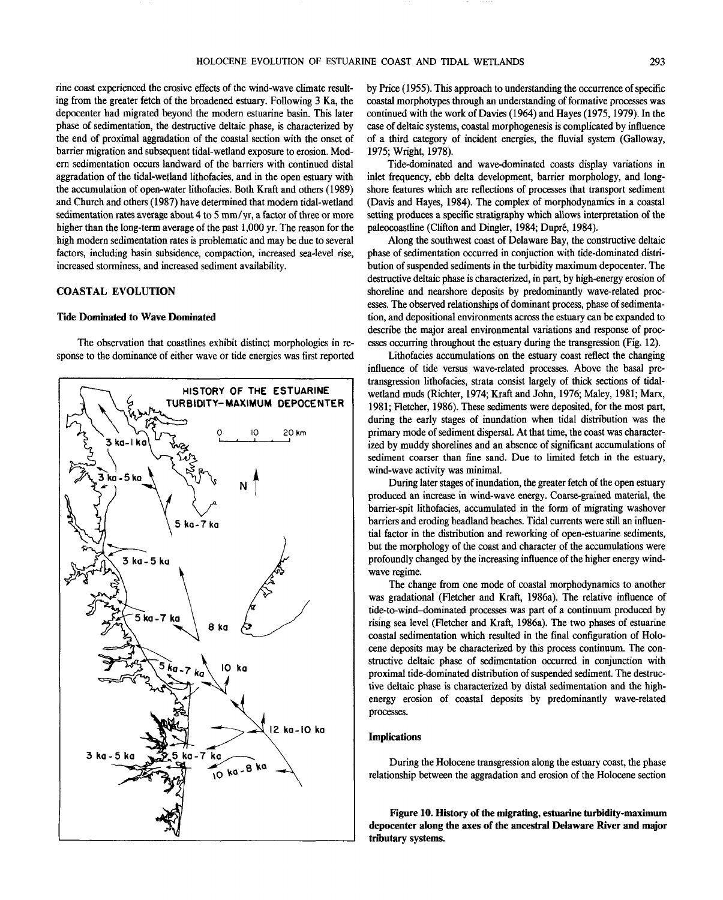rine coast experienced the erosive effects of the wind-wave climate resulting from the greater fetch of the broadened estuary. Following 3 Ka, the depocenter had migrated beyond the modern estuarine basin. This later phase of sedimentation, the destructive deltaic phase, is characterized by the end of proximal aggradation of the coastal section with the onset of barrier migration and subsequent tidal-wetland exposure to erosion. Modern sedimentation occurs landward of the barriers with continued distal aggradation of the tidal-wetland lithofacies, and in the open estuary with the accumulation of open-water lithofacies. Both Kraft and others (1989) and Church and others (1987) have determined that modern tidal-wetland sedimentation rates average about 4 to 5 mm/yr, a factor of three or more higher than the long-term average of the past 1,000 yr. The reason for the high modern sedimentation rates is problematic and may be due to several factors, including basin subsidence, compaction, increased sea-level rise, increased storminess, and increased sediment availability.

# **COASTAL EVOLUTION**

# **Tide Dominated to Wave Dominated**

The observation that coastlines exhibit distinct morphologies in response to the dominance of either wave or tide energies was first reported



by Price (1955). This approach to understanding the occurrence of specific coastal morphotypes through an understanding of formative processes was continued with the work of Davies (1964) and Hayes (1975,1979). In the case of deltaic systems, coastal morphogenesis is complicated by influence of a third category of incident energies, the fluvial system (Galloway, 1975; Wright, 1978).

Tide-dominated and wave-dominated coasts display variations in inlet frequency, ebb delta development, barrier morphology, and longshore features which are reflections of processes that transport sediment (Davis and Hayes, 1984). The complex of morphodynamics in a coastal setting produces a specific stratigraphy which allows interpretation of the paleocoastline (Clifton and Dingler, 1984; Dupré, 1984).

Along the southwest coast of Delaware Bay, the constructive deltaic phase of sedimentation occurred in conjuction with tide-dominated distribution of suspended sediments in the turbidity maximum depocenter. The destructive deltaic phase is characterized, in part, by high-energy erosion of shoreline and nearshore deposits by predominantly wave-related processes. The observed relationships of dominant process, phase of sedimentation, and depositional environments across the estuary can be expanded to describe the major areal environmental variations and response of processes occurring throughout the estuary during the transgression (Fig. 12).

Lithofacies accumulations on the estuary coast reflect the changing influence of tide versus wave-related processes. Above the basal pretransgression lithofacies, strata consist largely of thick sections of tidalwetland muds (Richter, 1974; Kraft and John, 1976; Maley, 1981; Marx, 1981; Fletcher, 1986). These sediments were deposited, for the most part, during the early stages of inundation when tidal distribution was the primary mode of sediment dispersal. At that time, the coast was characterized by muddy shorelines and an absence of significant accumulations of sediment coarser than fine sand. Due to limited fetch in the estuary, wind-wave activity was minimal.

During later stages of inundation, the greater fetch of the open estuary produced an increase in wind-wave energy. Coarse-grained material, the barrier-spit lithofacies, accumulated in the form of migrating washover barriers and eroding headland beaches. Tidal currents were still an influential factor in the distribution and reworking of open-estuarine sediments, but the morphology of the coast and character of the accumulations were profoundly changed by the increasing influence of the higher energy windwave regime.

The change from one mode of coastal morphodynamics to another was gradational (Fletcher and Kraft, 1986a). The relative influence of tide-to-wind-dominated processes was part of a continuum produced by rising sea level (Fletcher and Kraft, 1986a). The two phases of estuarine coastal sedimentation which resulted in the final configuration of Holocene deposits may be characterized by this process continuum. The constructive deltaic phase of sedimentation occurred in conjunction with proximal tide-dominated distribution of suspended sediment. The destructive deltaic phase is characterized by distal sedimentation and the highenergy erosion of coastal deposits by predominantly wave-related processes.

# **Implications**

During the Holocene transgression along the estuary coast, the phase relationship between the aggradation and erosion of the Holocene section

**Figure 10. History of the migrating, estuarine turbidity-maximum depocenter along the axes of the ancestral Delaware River and major tributary systems.**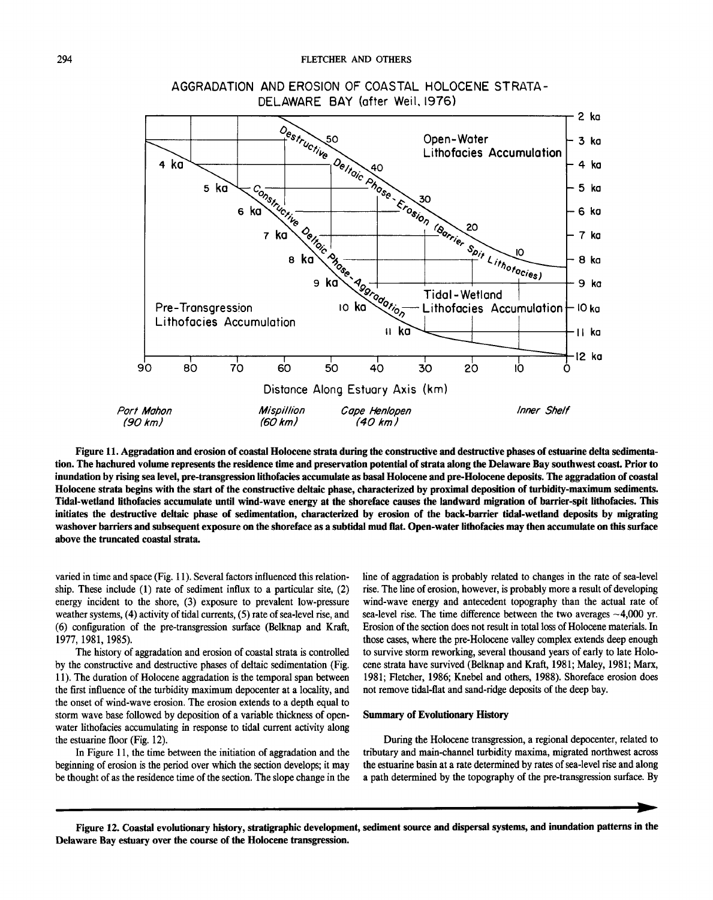

**AGGRADATION AND EROSION OF COASTAL HOLOCENE STRATA - DELAWARE BAY (after Weil, 1976)** 

**Figure 11. Aggradation and erosion of coastal Holocene strata during the constructive and destructive phases of estuarine delta sedimentation. The hachured volume represents the residence time and preservation potential of strata along the Delaware Bay southwest coast. Prior to inundation by rising sea level, pre-transgression lithofacies accumulate as basal Holocene and pre-Holocene deposits. The aggradation of coastal Holocene strata begins with the start of the constructive deltaic phase, characterized by proximal deposition of turbidity-maximum sediments. Tidal-wetland lithofacies accumulate until wind-wave energy at the shoreface causes the landward migration of barrier-spit lithofacies. This initiates the destructive deltaic phase of sedimentation, characterized by erosion of the back-barrier tidal-wetland deposits by migrating washover barriers and subsequent exposure on the shoreface as a subtidal mud flat. Open-water lithofacies may then accumulate on this surface above the truncated coastal strata.** 

varied in time and space (Fig. 11). Several factors influenced this relationship. These include (1) rate of sediment influx to a particular site, (2) energy incident to the shore, (3) exposure to prevalent low-pressure weather systems, (4) activity of tidal currents, (5) rate of sea-level rise, and (6) configuration of the pre-transgression surface (Belknap and Kraft, 1977,1981,1985).

The history of aggradation and erosion of coastal strata is controlled by the constructive and destructive phases of deltaic sedimentation (Fig. 11). The duration of Holocene aggradation is the temporal span between the first influence of the turbidity maximum depocenter at a locality, and the onset of wind-wave erosion. The erosion extends to a depth equal to storm wave base followed by deposition of a variable thickness of openwater lithofacies accumulating in response to tidal current activity along the estuarine floor (Fig. 12).

In Figure 11, the time between the initiation of aggradation and the beginning of erosion is the period over which the section develops; it may be thought of as the residence time of the section. The slope change in the line of aggradation is probably related to changes in the rate of sea-level rise. The line of erosion, however, is probably more a result of developing wind-wave energy and antecedent topography than the actual rate of sea-level rise. The time difference between the two averages  $\sim$ 4,000 yr. Erosion of the section does not result in total loss of Holocene materials. In those cases, where the pre-Holocene valley complex extends deep enough to survive storm reworking, several thousand years of early to late Holocene strata have survived (Belknap and Kraft, 1981; Maley, 1981; Marx, 1981; Fletcher, 1986; Knebel and others, 1988). Shoreface erosion does not remove tidal-flat and sand-ridge deposits of the deep bay.

# **Summary of Evolutionary History**

During the Holocene transgression, a regional depocenter, related to tributary and main-channel turbidity maxima, migrated northwest across the estuarine basin at a rate determined by rates of sea-level rise and along a path determined by the topography of the pre-transgression surface. By

**Figure 12. Coastal evolutionary history, stratigraphie development, sediment source and dispersal systems, and inundation patterns in the Delaware Bay estuary over the course of the Holocene transgression.**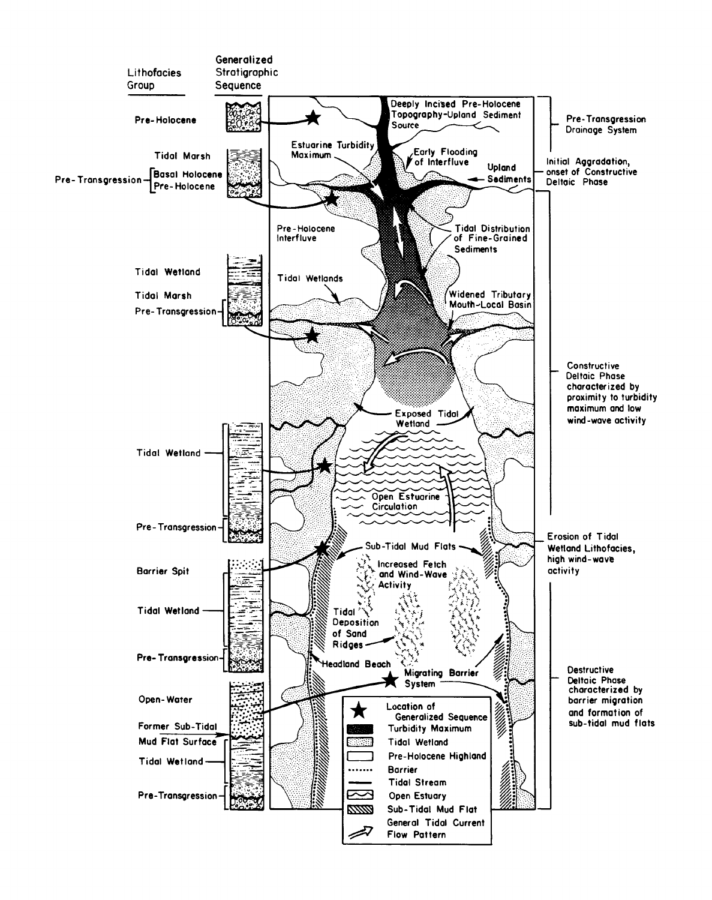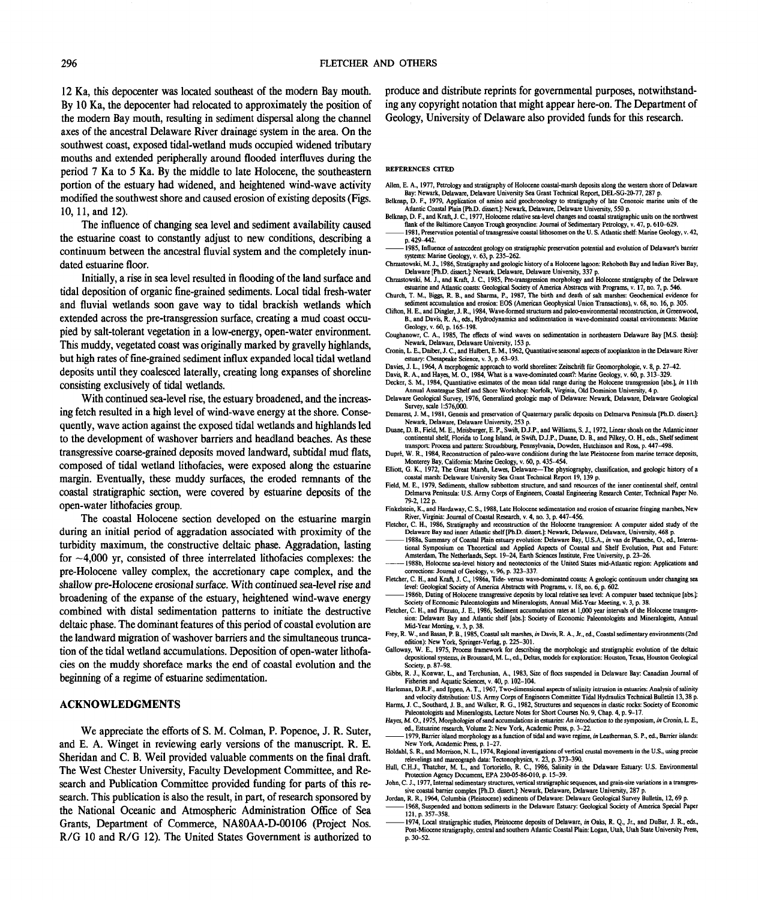12 Ka, this depocenter was located southeast of the modern Bay mouth. By 10 Ka, the depocenter had relocated to approximately the position of the modern Bay mouth, resulting in sediment dispersal along the channel axes of the ancestral Delaware River drainage system in the area. On the southwest coast, exposed tidal-wetland muds occupied widened tributary mouths and extended peripherally around flooded interfluves during the period 7 Ka to 5 Ka. By the middle to late Holocene, the southeastern portion of the estuary had widened, and heightened wind-wave activity modified the southwest shore and caused erosion of existing deposits (Figs. 10, 11, and 12).

The influence of changing sea level and sediment availability caused the estuarine coast to constantly adjust to new conditions, describing a continuum between the ancestral fluvial system and the completely inundated estuarine floor.

Initially, a rise in sea level resulted in flooding of the land surface and tidal deposition of organic fine-grained sediments. Local tidal fresh-water and fluvial wetlands soon gave way to tidal brackish wetlands which extended across the pre-transgression surface, creating a mud coast occupied by salt-tolerant vegetation in a low-energy, open-water environment. This muddy, vegetated coast was originally marked by gravelly highlands, but high rates of fine-grained sediment influx expanded local tidal wetland deposits until they coalesced laterally, creating long expanses of shoreline consisting exclusively of tidal wetlands.

With continued sea-level rise, the estuary broadened, and the increasing fetch resulted in a high level of wind-wave energy at the shore. Consequently, wave action against the exposed tidal wetlands and highlands led to the development of washover barriers and headland beaches. As these transgressive coarse-grained deposits moved landward, subtidal mud flats, composed of tidal wetland lithofacies, were exposed along the estuarine margin. Eventually, these muddy surfaces, the eroded remnants of the coastal stratigraphic section, were covered by estuarine deposits of the open-water lithofacies group.

The coastal Holocene section developed on the estuarine margin during an initial period of aggradation associated with proximity of the turbidity maximum, the constructive deltaic phase. Aggradation, lasting for  $\sim$  4,000 yr, consisted of three interrelated lithofacies complexes: the pre-Holocene valley complex, the accretionary cape complex, and the shallow pre-Holocene erosional surface. With continued sea-level rise and broadening of the expanse of the estuary, heightened wind-wave energy combined with distal sedimentation patterns to initiate the destructive deltaic phase. The dominant features of this period of coastal evolution are the landward migration of washover barriers and the simultaneous truncation of the tidal wetland accumulations. Deposition of open-water lithofacies on the muddy shoreface marks the end of coastal evolution and the beginning of a regime of estuarine sedimentation.

## ACKNOWLEDGMENTS

We appreciate the efforts of S. M. Colman, P. Popenoe, J. R. Suter, and E. A. Winget in reviewing early versions of the manuscript. R. E. Sheridan and C. B. Weil provided valuable comments on the final draft. The West Chester University, Faculty Development Committee, and Research and Publication Committee provided funding for parts of this research. This publication is also the result, in part, of research sponsored by the National Oceanic and Atmospheric Administration Office of Sea Grants, Department of Commerce, NA80AA-D-00106 (Project Nos. R/G 10 and R/G 12). The United States Government is authorized to produce and distribute reprints for governmental purposes, notwithstanding any copyright notation that might appear here-on. The Department of Geology, University of Delaware also provided funds for this research.

#### REFERENCES CITED

- Allen, E. A., 1977, Petrology and stratigraphy of Holocene coastal-marsh deposits along the western shore of Delaware Bay: Newark, Delaware, Delaware University Sea Grant Technical Report, DEL-SG-20-77, 287 p. Belknap, D. F., 1979, Application of amino acid geochronology to stratigraphy of late Cenozoic marine units of the
- Atlantic Coastal Plain [Ph.D. dissert.]: Newark, Delaware, Delaware University, 550 p. Belknap, D. F., and Kraft, J. C., 1977, Holocene relative sea-level changes and coastal stratigraphic units on the northwest
- flank of the Baltimore Canyon Trough geosyndine: Journal of Sedimentary Petrology, v. 47, p. 610- 629. 1981, Preservation potential of transgressive coastal lithosomes on the U. S. Atlantic shelf: Marine Geology, v. 42, p. 429-442.
- 1985, Influence of antecedent geology on stratigraphic preservation potential and evolution of Delaware's barrier systems: Marine Geology, v. 63, p. 235-262.
- Chrzastowski, M. J., 1986, Stratigraphy and geologic history of a Holocene lagoon: Rehoboth Bay and Indian River Bay, Delaware [Ph.D. dissert.]: Newark, Delaware, Delaware University, 337 p.
- Chrzastowski, M. J., and Kraft, J. C., 1985, Pre-transgression morphology and Holocene stratigraphy of the Delaware estuarine and Atlantic coasts: Geological Society of America Abstracts with Programs, v. 17, no. 7, p. 546. Church, T. M., Biggs, R. B., and Sharma, P., 1987, The birth and death of salt marshes: Geochemical evidence for
- sediment accumulation and erosion: EOS (American Geophysical Union Transactions), v. 68, no. 16, p. 305. Clifton, H. E., and Dingier, J. R., 1984, Wave-formed structures and paleo-environmental reconstruction, in Greenwood,
- B., and Davis, R. A., eds., Hydrodynamics and sedimentation in wave-dominated coastal environments: Marine Geology, v. 60, p. 165-198.
- Coughanowr, C. A., 1985, The effects of wind waves on sedimentation in northeastern Delaware Bay [M.S. thesis]: Newark, Delaware, Delaware University, 153 p.
- Cronin, L. E., Daiber, J. C., and Hulbert, E. M., 1962, Quantitative seasonal aspects of zooplankton in the Delaware River estuary: Chesapeake Science, v. 3, p. 63-93.
- Davies, J. L., 1964, A morphogenic approach to world shorelines: Zeitschrift für Geomorphologie, v. 8, p. 27-42.
- Davis, R. A., and Hayes, M. 0., 1984, What is a wave-dominated coast?: Marine Geology, v. 60, p. 313-329. Decker, S. M., 1984, Quantitative estimates of the mean tidal range during the Holocene transgression [abs.], *in* 11th
- Annual Assateague Shelf and Shore Workshop: Norfolk, Virginia, Old Dominion University, 4 p. Delaware Geological Survey, 1976, Generalized geologic map of Delaware: Newark, Delaware, Delaware Geological Survey, scale 1:576,000.
- Demarest, J. M., 1981, Genesis and preservation of Quaternary paralic deposits on Delmarva Peninsula [Ph.D. dissert.]:
- Newark, Delaware, Delaware University, 253 p.<br>Duane, D. B., Field, M. E., Meisburger, E. P., Swift, D.J.P., and Williams, S. J., 1972, Linear shoals on the Atlantic inner continental shelf, Florida to Long Island, *in* Swift, D.J.P., Duane, D. B., and Pilkey, O. H., eds., Shelf sediment transport: Process and pattern: Stroudsburg, Pennsylvania, Dowden, Hutchinson and Ross, p. 447-498.
- Dupré, W. R., 1984, Reconstruction of paleo-wave conditions during the late Pleistocene from marine terrace deposits, Monterey Bay, California: Marine Geology, v. 60, p. 435-454. Elliott, G. K., 1972, The Great Marsh, Lewes, Delaware—The physiography, classification, and geologic history of a
- coastal marsh: Delaware University Sea Grant Technical Report 19, 139 p.
- Field, M. E., 1979, Sediments, shallow subbottom structure, and sand resources of the inner continental shelf, central Delmarva Peninsula: U.S. Army Corps of Engineers, Coastal Engineering Research Center, Technical Paper No. 79-2, 122 p.
- Finkelstein, K., and Hardaway, C. S., 1988, Late Holocene sedimentation and erosion of estuarine fringing marshes, New River, Virginia: Journal of Coastal Research, v. 4, no. 3, p. 447-456.
- Fletcher, C. H., 1986, Stratigraphy and reconstruction of the Holocene transgression: A computer aided study of the Delaware Bay and inner Atlantic shelf [Ph.D. dissert]: Newark, Delaware, Delaware, University, 468 p.
- 1988a, Summary of Coastal Plain estuary evolution: Delaware Bay, U.S.A., *in* van de Plassche, O., ed., International Symposium on Theoretical and Applied Aspects of Coastal and Shelf Evolution, Past and Future: Amsterdam, The Netherlands, Sept. 19-24, Earth Sciences Institute, Free University, p. 23-26. 1988b, Holocene sea-level history and neotectonics of the United States mid-Atlantic region: Applications and
- corrections: Journal of Geology, v. 96, p. 323-337. Fletcher, C. H., and Kraft, J. C., 1986a, Tide- versus wave-dominated coasts: A geologic continuum under changing sea
- level: Geological Society of America Abstracts with Programs, v. 18, no. 6, p. 602. 1986b, Dating of Holocene transgressive deposits by local relative sea level: A computer based technique [abs.]:
- Society of Economic Paleontologists and Mineralogists, Annual Mid-Year Meeting, v. 3, p. 38. Fletcher, C. H., and Pizzuto, J. E., 1986, Sediment accumulation rates at 1,000 year intervals of the Holocene transgres-
- sion: Delaware Bay and Atlantic shelf [abs.]: Society of Economic Paleontologists and Mineralogists, Annual Mid-Year Meeting, v. 3, p. 38. Frey, R. W., and Basan, P. B., 1985, Coastal salt marshes, *in* Davis, R. A., Jr., ed., Coastal sedimentary environments (2nd
- edition): New York, Springer-Verlag, p. 225-301. Galloway, W. E., 1975, Process framework for describing the morphologic and stratigraphic evolution of the deltaic
- depositional systems, *in* Broussard, M. L., ed., Deltas, models for exploration: Houston, Texas, Houston Geological Society, p. 87-98. Gibbs, R. J., Konwar, L., and Terchunian, A., 1983, Size of floes suspended in Delaware Bay: Canadian Journal of
- Fisheries and Aquatic Sciences, v. 40, p. 102-104.
- Harleman, D.R.F., and Ippen, A. T., 1967, Two-dimensional aspects of salinity intrusion in estuaries: Analysis of salinity and velocity distribution: U.S. Army Corps of Engineers Committee Tidal Hydraulics Technical Bulletin 13, 38 p.
- Harms, J. C., Southard, J. B., and Walker, R. G., 1982, Structures and sequences in clastic rocks: Society of Economic Paleontologists and Mineralogists, Lecture Notes for Short Courses No. 9, Chap. 4, p. 9-17. Hayes, M. O., 1975, Morphologies of sand accumulations in estuaries: An introduction to the symposium, *in* Cronin, L. £.,
- ed., Estuarine research, Volume 2: New York, Academic Press, p. 3-22. 1979, Barrier island morphology as a function of tidal and wave regime, *in* Leatherman, S. P., ed., Barrier islands:
- New York, Academic Press, p. 1-27. Holdahl, S. R., and Morrison, N. L., 1974, Regional investigations of vertical crustal movements in the U.S., using precise
- relevelings and mareograph data: Tectonophysics, v. 23, p. 373-390. Hull, C.H.J., Thatcher, M. L., and Tortoriello, R. C., 1986, Salinity in the Delaware Estuary: U.S. Environmental
- Protection Agency Document, EPA 230-05-86-010, p. 15-39. John, C. J., 1977, Internal sedimentary structures, vertical stratigraphic sequences, and grain-size variations in a transgres-
- sive coastal barrier complex [Ph.D. dissert.]: Newark, Delaware, Delaware University, 287 p. Jordan, R. R., 1964, Columbia (Pleistocene) sediments of Delaware: Delaware Geological Survey Bulletin, 12, 69 p.
- 1968, Suspended and bottom sediments in the Delaware Estuary: Geological Society of America Special Paper 121, p. 357-358.
- 1974, Local stratigraphic studies, Pleistocene deposits of Delaware, *in* Oaks, R. Q., Jr., and DuBar, J. R., eds., Post-Miocene stratigraphy, central and southern Atlantic Coastal Plain: Logan, Utah, Utah State University Press, p. 30-52.